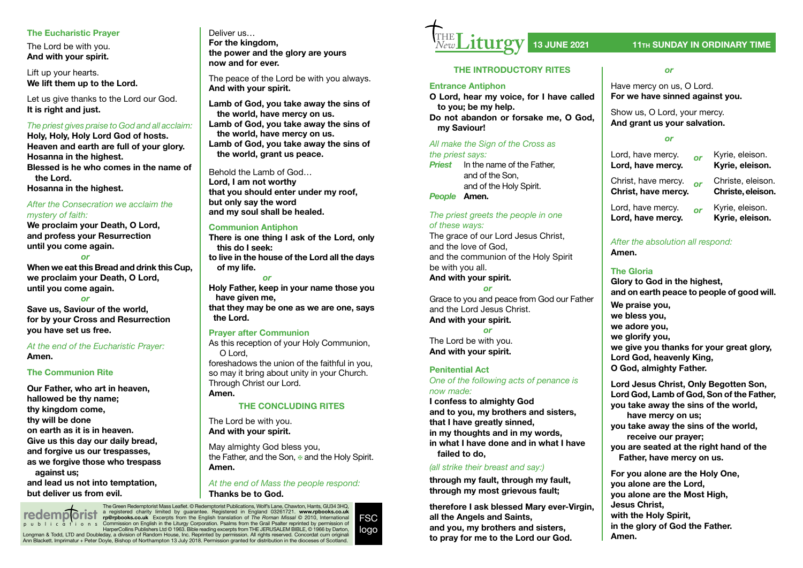#### **The Eucharistic Prayer**

The Lord be with you. **And with your spirit.**

Lift up your hearts. **We lift them up to the Lord.**

Let us give thanks to the Lord our God. **It is right and just.**

#### *The priest gives praise to God and all acclaim:*

**Holy, Holy, Holy Lord God of hosts. Heaven and earth are full of your glory. Hosanna in the highest. Blessed is he who comes in the name of the Lord.**

**Hosanna in the highest.**

### *After the Consecration we acclaim the mystery of faith:*

**We proclaim your Death, O Lord, and profess your Resurrection until you come again.**

*or* **When we eat this Bread and drink this Cup, we proclaim your Death, O Lord, until you come again.**

*or*

**Save us, Saviour of the world, for by your Cross and Resurrection you have set us free.**

*At the end of the Eucharistic Prayer:*  **Amen.**

#### **The Communion Rite**

**Our Father, who art in heaven, hallowed be thy name; thy kingdom come, thy will be done on earth as it is in heaven. Give us this day our daily bread, and forgive us our trespasses, as we forgive those who trespass against us; and lead us not into temptation, but deliver us from evil.**

Deliver us… **For the kingdom, the power and the glory are yours now and for ever.**

The peace of the Lord be with you always. **And with your spirit.**

**Lamb of God, you take away the sins of the world, have mercy on us. Lamb of God, you take away the sins of the world, have mercy on us. Lamb of God, you take away the sins of the world, grant us peace.**

Behold the Lamb of God… **Lord, I am not worthy that you should enter under my roof, but only say the word and my soul shall be healed.**

#### **Communion Antiphon**

**There is one thing I ask of the Lord, only this do I seek: to live in the house of the Lord all the days of my life.** 

*or* **Holy Father, keep in your name those you have given me, that they may be one as we are one, says the Lord.** 

#### **Prayer after Communion**

As this reception of your Holy Communion, O Lord,

foreshadows the union of the faithful in you, so may it bring about unity in your Church. Through Christ our Lord. **Amen.**

#### **THE CONCLUDING RITES**

The Lord be with you. **And with your spirit.**

May almighty God bless you, the Father, and the Son, ⊕ and the Holy Spirit. **Amen.**

*At the end of Mass the people respond:* **Thanks be to God.**

The Green Redemptorist Mass Leafet. © Redemptorist Publications, Wolf's Lane, Chawton, Hants, GU34 3HQ, a registered charity limited by guarantee. Registered in England 03261721. www.**rpbooks.co.uk**<br>**rp@rpbooks.co.uk** Excerpts from the English translation of *The Roman Missal* © 2010, International<br>Commission on English in t Longman & Todd, LTD and Doubleday, a division of Random House, Inc. Reprinted by permission. All rights reserved. Concordat cum originali<br>Ann Blackett. Imprimatur + Peter Doyle, Bishop of Northampton 13 July 2018. Permissi **redemp orist** publications FSC logo



### **13 JUNE 2021 11TH SUNDAY IN ORDINARY TIME**

#### **THE INTRODUCTORY RITES**

#### **Entrance Antiphon**

**O Lord, hear my voice, for I have called to you; be my help.**

**Do not abandon or forsake me, O God, my Saviour!** 

*All make the Sign of the Cross as the priest says:*

*Priest* In the name of the Father, and of the Son, and of the Holy Spirit.

*People* **Amen.**

#### *The priest greets the people in one of these ways:*

The grace of our Lord Jesus Christ. and the love of God, and the communion of the Holy Spirit be with you all. **And with your spirit.**

*or*

Grace to you and peace from God our Father and the Lord Jesus Christ. **And with your spirit.** *or*

The Lord be with you. **And with your spirit.**

#### **Penitential Act**

*One of the following acts of penance is now made:*

**I confess to almighty God and to you, my brothers and sisters, that I have greatly sinned, in my thoughts and in my words, in what I have done and in what I have failed to do,**

#### *(all strike their breast and say:)*

**through my fault, through my fault, through my most grievous fault;**

**therefore I ask blessed Mary ever-Virgin, all the Angels and Saints, and you, my brothers and sisters, to pray for me to the Lord our God.**

#### *or*

Have mercy on us, O Lord. **For we have sinned against you.**

Show us, O Lord, your mercy. **And grant us your salvation.**

#### *or*

Lord, have mercy. *or* Kyrie, eleison. **Lord, have mercy.** 

Christ, have mercy. **or** Christe, eleison.<br>**Christ, have mercy. Christe, eleison. Christ, have mercy.** 

Lord, have mercy. *or* Kyrie, eleison. Lord, have mercy.

### *After the absolution all respond:*  **Amen.**

## **The Gloria**

**Glory to God in the highest, and on earth peace to people of good will. We praise you, we bless you, we adore you, we glorify you, we give you thanks for your great glory,**

**Lord God, heavenly King, O God, almighty Father.**

**Lord Jesus Christ, Only Begotten Son, Lord God, Lamb of God, Son of the Father, you take away the sins of the world, have mercy on us;**

**you take away the sins of the world, receive our prayer; you are seated at the right hand of the Father, have mercy on us.**

**For you alone are the Holy One, you alone are the Lord, you alone are the Most High, Jesus Christ, with the Holy Spirit, in the glory of God the Father. Amen.**